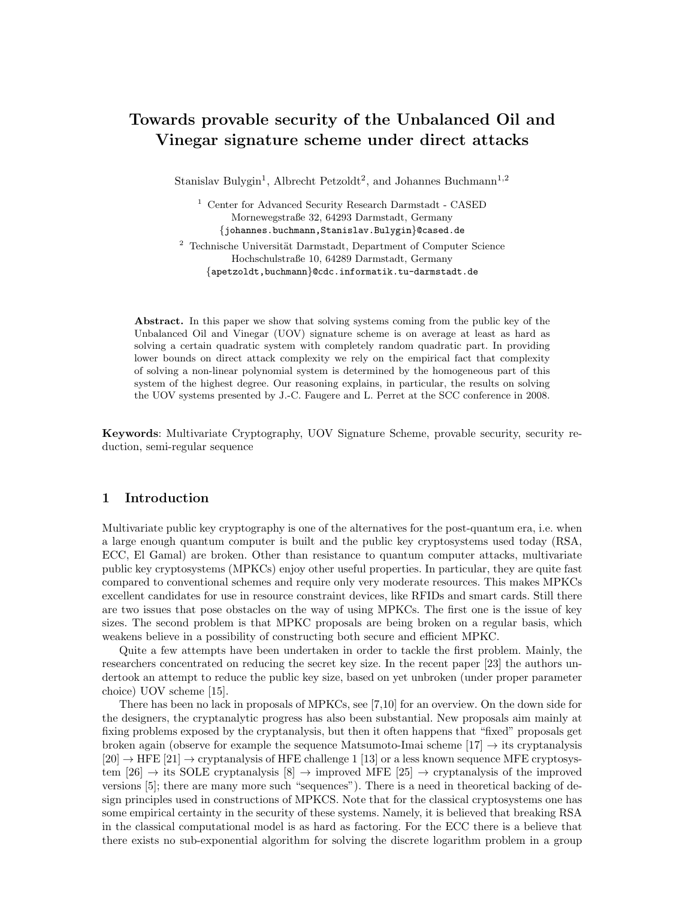# Towards provable security of the Unbalanced Oil and Vinegar signature scheme under direct attacks

Stanislav Bulygin<sup>1</sup>, Albrecht Petzoldt<sup>2</sup>, and Johannes Buchmann<sup>1,2</sup>

<sup>1</sup> Center for Advanced Security Research Darmstadt - CASED Mornewegstraße 32, 64293 Darmstadt, Germany {johannes.buchmann,Stanislav.Bulygin}@cased.de

 $2$  Technische Universität Darmstadt, Department of Computer Science Hochschulstraße 10, 64289 Darmstadt, Germany {apetzoldt,buchmann}@cdc.informatik.tu-darmstadt.de

Abstract. In this paper we show that solving systems coming from the public key of the Unbalanced Oil and Vinegar (UOV) signature scheme is on average at least as hard as solving a certain quadratic system with completely random quadratic part. In providing lower bounds on direct attack complexity we rely on the empirical fact that complexity of solving a non-linear polynomial system is determined by the homogeneous part of this system of the highest degree. Our reasoning explains, in particular, the results on solving the UOV systems presented by J.-C. Faugere and L. Perret at the SCC conference in 2008.

Keywords: Multivariate Cryptography, UOV Signature Scheme, provable security, security reduction, semi-regular sequence

### 1 Introduction

Multivariate public key cryptography is one of the alternatives for the post-quantum era, i.e. when a large enough quantum computer is built and the public key cryptosystems used today (RSA, ECC, El Gamal) are broken. Other than resistance to quantum computer attacks, multivariate public key cryptosystems (MPKCs) enjoy other useful properties. In particular, they are quite fast compared to conventional schemes and require only very moderate resources. This makes MPKCs excellent candidates for use in resource constraint devices, like RFIDs and smart cards. Still there are two issues that pose obstacles on the way of using MPKCs. The first one is the issue of key sizes. The second problem is that MPKC proposals are being broken on a regular basis, which weakens believe in a possibility of constructing both secure and efficient MPKC.

Quite a few attempts have been undertaken in order to tackle the first problem. Mainly, the researchers concentrated on reducing the secret key size. In the recent paper [23] the authors undertook an attempt to reduce the public key size, based on yet unbroken (under proper parameter choice) UOV scheme [15].

There has been no lack in proposals of MPKCs, see [7,10] for an overview. On the down side for the designers, the cryptanalytic progress has also been substantial. New proposals aim mainly at fixing problems exposed by the cryptanalysis, but then it often happens that "fixed" proposals get broken again (observe for example the sequence Matsumoto-Imai scheme  $|17| \rightarrow$  its cryptanalysis  $[20] \rightarrow HFE$  [21]  $\rightarrow$  cryptanalysis of HFE challenge 1 [13] or a less known sequence MFE cryptosystem [26]  $\rightarrow$  its SOLE cryptanalysis [8]  $\rightarrow$  improved MFE [25]  $\rightarrow$  cryptanalysis of the improved versions [5]; there are many more such "sequences"). There is a need in theoretical backing of design principles used in constructions of MPKCS. Note that for the classical cryptosystems one has some empirical certainty in the security of these systems. Namely, it is believed that breaking RSA in the classical computational model is as hard as factoring. For the ECC there is a believe that there exists no sub-exponential algorithm for solving the discrete logarithm problem in a group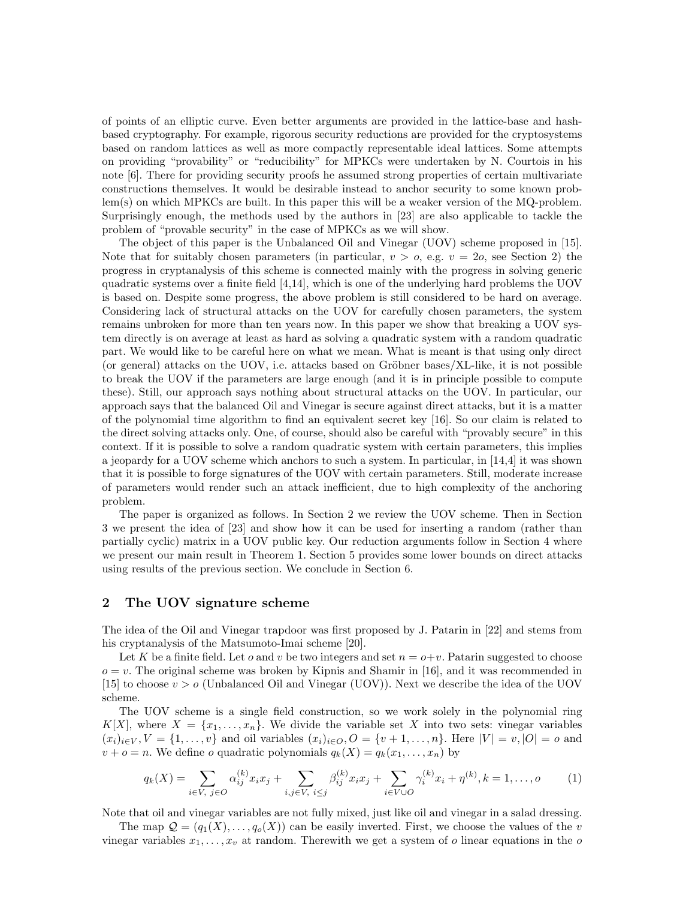of points of an elliptic curve. Even better arguments are provided in the lattice-base and hashbased cryptography. For example, rigorous security reductions are provided for the cryptosystems based on random lattices as well as more compactly representable ideal lattices. Some attempts on providing "provability" or "reducibility" for MPKCs were undertaken by N. Courtois in his note [6]. There for providing security proofs he assumed strong properties of certain multivariate constructions themselves. It would be desirable instead to anchor security to some known problem(s) on which MPKCs are built. In this paper this will be a weaker version of the MQ-problem. Surprisingly enough, the methods used by the authors in [23] are also applicable to tackle the problem of "provable security" in the case of MPKCs as we will show.

The object of this paper is the Unbalanced Oil and Vinegar (UOV) scheme proposed in [15]. Note that for suitably chosen parameters (in particular,  $v > o$ , e.g.  $v = 2o$ , see Section 2) the progress in cryptanalysis of this scheme is connected mainly with the progress in solving generic quadratic systems over a finite field [4,14], which is one of the underlying hard problems the UOV is based on. Despite some progress, the above problem is still considered to be hard on average. Considering lack of structural attacks on the UOV for carefully chosen parameters, the system remains unbroken for more than ten years now. In this paper we show that breaking a UOV system directly is on average at least as hard as solving a quadratic system with a random quadratic part. We would like to be careful here on what we mean. What is meant is that using only direct (or general) attacks on the UOV, i.e. attacks based on Gröbner bases/ $X<sub>L</sub>$ -like, it is not possible to break the UOV if the parameters are large enough (and it is in principle possible to compute these). Still, our approach says nothing about structural attacks on the UOV. In particular, our approach says that the balanced Oil and Vinegar is secure against direct attacks, but it is a matter of the polynomial time algorithm to find an equivalent secret key [16]. So our claim is related to the direct solving attacks only. One, of course, should also be careful with "provably secure" in this context. If it is possible to solve a random quadratic system with certain parameters, this implies a jeopardy for a UOV scheme which anchors to such a system. In particular, in [14,4] it was shown that it is possible to forge signatures of the UOV with certain parameters. Still, moderate increase of parameters would render such an attack inefficient, due to high complexity of the anchoring problem.

The paper is organized as follows. In Section 2 we review the UOV scheme. Then in Section 3 we present the idea of [23] and show how it can be used for inserting a random (rather than partially cyclic) matrix in a UOV public key. Our reduction arguments follow in Section 4 where we present our main result in Theorem 1. Section 5 provides some lower bounds on direct attacks using results of the previous section. We conclude in Section 6.

#### 2 The UOV signature scheme

The idea of the Oil and Vinegar trapdoor was first proposed by J. Patarin in [22] and stems from his cryptanalysis of the Matsumoto-Imai scheme [20].

Let K be a finite field. Let o and v be two integers and set  $n = o+v$ . Patarin suggested to choose  $o = v$ . The original scheme was broken by Kipnis and Shamir in [16], and it was recommended in [15] to choose  $v > o$  (Unbalanced Oil and Vinegar (UOV)). Next we describe the idea of the UOV scheme.

The UOV scheme is a single field construction, so we work solely in the polynomial ring  $K[X]$ , where  $X = \{x_1, \ldots, x_n\}$ . We divide the variable set X into two sets: vinegar variables  $(x_i)_{i \in V}, V = \{1, \ldots, v\}$  and oil variables  $(x_i)_{i \in O}, O = \{v+1, \ldots, n\}.$  Here  $|V| = v, |O| = o$  and  $v + o = n$ . We define o quadratic polynomials  $q_k(X) = q_k(x_1, \ldots, x_n)$  by

$$
q_k(X) = \sum_{i \in V, j \in O} \alpha_{ij}^{(k)} x_i x_j + \sum_{i,j \in V, i \le j} \beta_{ij}^{(k)} x_i x_j + \sum_{i \in V \cup O} \gamma_i^{(k)} x_i + \eta^{(k)}, k = 1, \dots, o
$$
 (1)

Note that oil and vinegar variables are not fully mixed, just like oil and vinegar in a salad dressing.

The map  $\mathcal{Q} = (q_1(X), \ldots, q_o(X))$  can be easily inverted. First, we choose the values of the v vinegar variables  $x_1, \ldots, x_v$  at random. Therewith we get a system of *o* linear equations in the *o*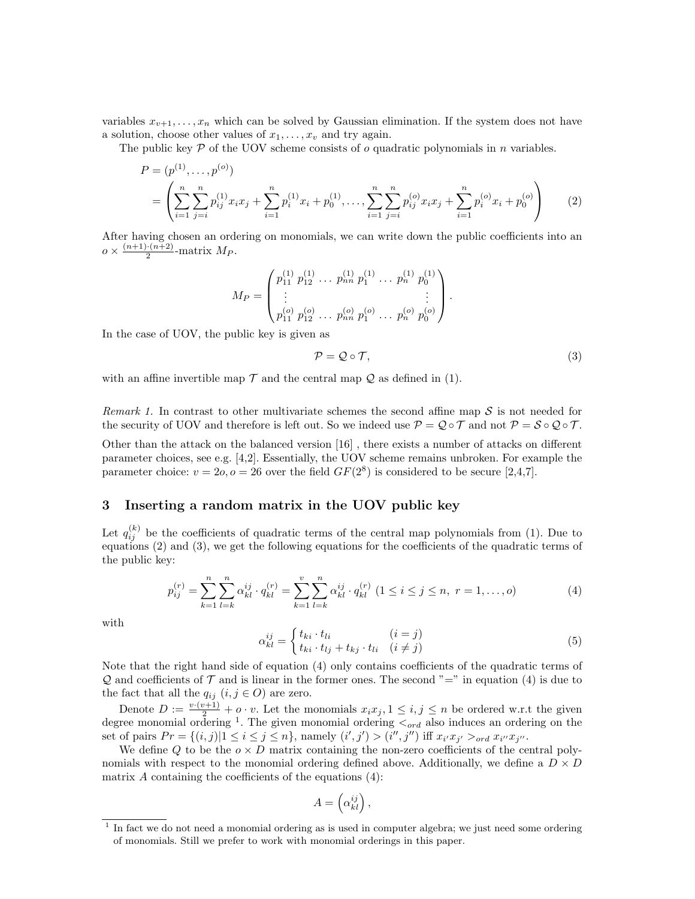variables  $x_{v+1}, \ldots, x_n$  which can be solved by Gaussian elimination. If the system does not have a solution, choose other values of  $x_1, \ldots, x_n$  and try again.

The public key  $P$  of the UOV scheme consists of  $o$  quadratic polynomials in  $n$  variables.

$$
P = (p^{(1)}, \dots, p^{(o)})
$$
  
= 
$$
\left(\sum_{i=1}^{n} \sum_{j=i}^{n} p_{ij}^{(1)} x_i x_j + \sum_{i=1}^{n} p_i^{(1)} x_i + p_0^{(1)}, \dots, \sum_{i=1}^{n} \sum_{j=i}^{n} p_{ij}^{(o)} x_i x_j + \sum_{i=1}^{n} p_i^{(o)} x_i + p_0^{(o)}\right)
$$
 (2)

After having chosen an ordering on monomials, we can write down the public coefficients into an  $o \times \frac{(n+1) \cdot (n+2)}{2}$  $\frac{((n+2))}{2}$ -matrix  $M_P$ .

$$
M_P = \begin{pmatrix} p_{11}^{(1)} p_{12}^{(1)} \cdots p_{nn}^{(1)} p_1^{(1)} \cdots p_n^{(1)} p_0^{(1)} \\ \vdots & \vdots \\ p_{11}^{(o)} p_{12}^{(o)} \cdots p_{nn}^{(o)} p_1^{(o)} \cdots p_n^{(o)} p_0^{(o)} \end{pmatrix}.
$$

In the case of UOV, the public key is given as

$$
\mathcal{P} = \mathcal{Q} \circ \mathcal{T},\tag{3}
$$

with an affine invertible map  $\mathcal T$  and the central map  $\mathcal Q$  as defined in (1).

Remark 1. In contrast to other multivariate schemes the second affine map  $\mathcal S$  is not needed for the security of UOV and therefore is left out. So we indeed use  $\mathcal{P} = \mathcal{Q} \circ \mathcal{T}$  and not  $\mathcal{P} = \mathcal{S} \circ \mathcal{Q} \circ \mathcal{T}$ .

Other than the attack on the balanced version [16] , there exists a number of attacks on different parameter choices, see e.g. [4,2]. Essentially, the UOV scheme remains unbroken. For example the parameter choice:  $v = 20$ ,  $o = 26$  over the field  $GF(2^8)$  is considered to be secure [2,4,7].

## 3 Inserting a random matrix in the UOV public key

Let  $q_{ij}^{(k)}$  be the coefficients of quadratic terms of the central map polynomials from (1). Due to equations (2) and (3), we get the following equations for the coefficients of the quadratic terms of the public key:

$$
p_{ij}^{(r)} = \sum_{k=1}^{n} \sum_{l=k}^{n} \alpha_{kl}^{ij} \cdot q_{kl}^{(r)} = \sum_{k=1}^{v} \sum_{l=k}^{n} \alpha_{kl}^{ij} \cdot q_{kl}^{(r)} \ (1 \le i \le j \le n, \ r = 1, \dots, o)
$$
 (4)

with

$$
\alpha_{kl}^{ij} = \begin{cases} t_{ki} \cdot t_{li} & (i=j) \\ t_{ki} \cdot t_{lj} + t_{kj} \cdot t_{li} & (i \neq j) \end{cases} \tag{5}
$$

Note that the right hand side of equation (4) only contains coefficients of the quadratic terms of  $Q$  and coefficients of  $\mathcal T$  and is linear in the former ones. The second "=" in equation (4) is due to the fact that all the  $q_{ij}$   $(i, j \in O)$  are zero.

Denote  $D := \frac{v \cdot (v+1)}{2} + o \cdot v$ . Let the monomials  $x_i x_j, 1 \leq i, j \leq n$  be ordered w.r.t the given degree monomial ordering <sup>1</sup>. The given monomial ordering  $\lt_{ord}$  also induces an ordering on the set of pairs  $Pr = \{(i, j) | 1 \leq i \leq j \leq n\}$ , namely  $(i', j') > (i'', j'')$  iff  $x_{i'} x_{j'} >_{ord} x_{i''} x_{j''}$ .

We define  $Q$  to be the  $o \times D$  matrix containing the non-zero coefficients of the central polynomials with respect to the monomial ordering defined above. Additionally, we define a  $D \times D$ matrix  $A$  containing the coefficients of the equations  $(4)$ :

$$
A = \left(\alpha_{kl}^{ij}\right),
$$

<sup>&</sup>lt;sup>1</sup> In fact we do not need a monomial ordering as is used in computer algebra; we just need some ordering of monomials. Still we prefer to work with monomial orderings in this paper.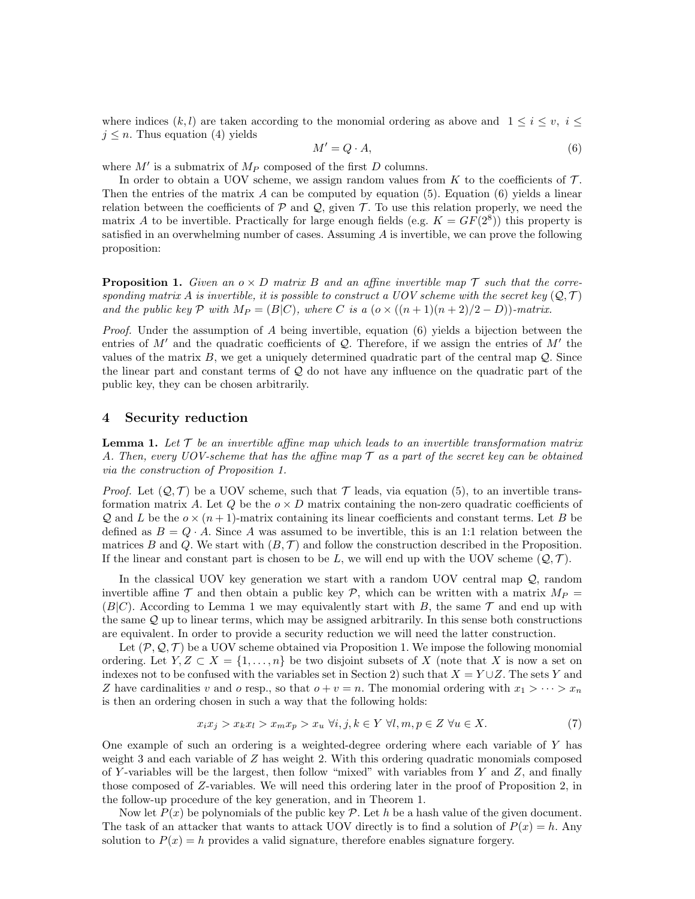where indices  $(k, l)$  are taken according to the monomial ordering as above and  $1 \leq i \leq v$ ,  $i \leq$  $j \leq n$ . Thus equation (4) yields

$$
M' = Q \cdot A,\tag{6}
$$

where  $M'$  is a submatrix of  $M_P$  composed of the first  $D$  columns.

In order to obtain a UOV scheme, we assign random values from  $K$  to the coefficients of  $\mathcal T$ . Then the entries of the matrix A can be computed by equation  $(5)$ . Equation  $(6)$  yields a linear relation between the coefficients of  $\mathcal P$  and  $\mathcal Q$ , given  $\mathcal T$ . To use this relation properly, we need the matrix A to be invertible. Practically for large enough fields (e.g.  $K = GF(2^8)$ ) this property is satisfied in an overwhelming number of cases. Assuming  $A$  is invertible, we can prove the following proposition:

**Proposition 1.** Given an  $o \times D$  matrix B and an affine invertible map T such that the corresponding matrix A is invertible, it is possible to construct a UOV scheme with the secret key  $(Q, \mathcal{T})$ and the public key  $\mathcal P$  with  $M_P = (B|C)$ , where C is a ( $o \times ((n+1)(n+2)/2 - D)$ )-matrix.

*Proof.* Under the assumption of A being invertible, equation (6) yields a bijection between the entries of  $M'$  and the quadratic coefficients of  $Q$ . Therefore, if we assign the entries of  $M'$  the values of the matrix  $B$ , we get a uniquely determined quadratic part of the central map  $Q$ . Since the linear part and constant terms of  $\mathcal Q$  do not have any influence on the quadratic part of the public key, they can be chosen arbitrarily.

#### 4 Security reduction

**Lemma 1.** Let  $\mathcal{T}$  be an invertible affine map which leads to an invertible transformation matrix A. Then, every UOV-scheme that has the affine map  $\mathcal T$  as a part of the secret key can be obtained via the construction of Proposition 1.

*Proof.* Let  $(Q, \mathcal{T})$  be a UOV scheme, such that  $\mathcal{T}$  leads, via equation (5), to an invertible transformation matrix A. Let  $Q$  be the  $o \times D$  matrix containing the non-zero quadratic coefficients of  $Q$  and L be the  $o \times (n+1)$ -matrix containing its linear coefficients and constant terms. Let B be defined as  $B = Q \cdot A$ . Since A was assumed to be invertible, this is an 1:1 relation between the matrices B and Q. We start with  $(B, \mathcal{T})$  and follow the construction described in the Proposition. If the linear and constant part is chosen to be L, we will end up with the UOV scheme  $(Q, \mathcal{T})$ .

In the classical UOV key generation we start with a random UOV central map  $\mathcal{Q}$ , random invertible affine  $\mathcal T$  and then obtain a public key  $\mathcal P$ , which can be written with a matrix  $M_P =$  $(B|C)$ . According to Lemma 1 we may equivalently start with B, the same  $\mathcal T$  and end up with the same  $\mathcal Q$  up to linear terms, which may be assigned arbitrarily. In this sense both constructions are equivalent. In order to provide a security reduction we will need the latter construction.

Let  $(\mathcal{P}, \mathcal{Q}, \mathcal{T})$  be a UOV scheme obtained via Proposition 1. We impose the following monomial ordering. Let  $Y, Z \subset X = \{1, \ldots, n\}$  be two disjoint subsets of X (note that X is now a set on indexes not to be confused with the variables set in Section 2) such that  $X = Y \cup Z$ . The sets Y and Z have cardinalities v and o resp., so that  $o + v = n$ . The monomial ordering with  $x_1 > \cdots > x_n$ is then an ordering chosen in such a way that the following holds:

$$
x_i x_j > x_k x_l > x_m x_p > x_u \ \forall i, j, k \in Y \ \forall l, m, p \in Z \ \forall u \in X. \tag{7}
$$

One example of such an ordering is a weighted-degree ordering where each variable of  $Y$  has weight 3 and each variable of  $Z$  has weight 2. With this ordering quadratic monomials composed of Y-variables will be the largest, then follow "mixed" with variables from Y and  $Z$ , and finally those composed of Z-variables. We will need this ordering later in the proof of Proposition 2, in the follow-up procedure of the key generation, and in Theorem 1.

Now let  $P(x)$  be polynomials of the public key  $\mathcal P$ . Let h be a hash value of the given document. The task of an attacker that wants to attack UOV directly is to find a solution of  $P(x) = h$ . Any solution to  $P(x) = h$  provides a valid signature, therefore enables signature forgery.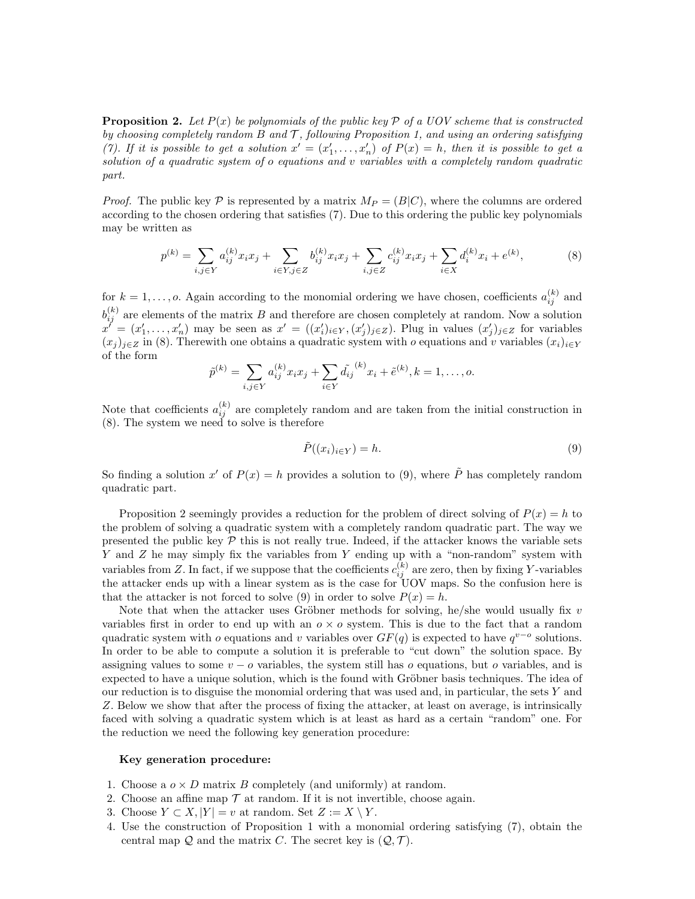**Proposition 2.** Let  $P(x)$  be polynomials of the public key  $\mathcal{P}$  of a UOV scheme that is constructed by choosing completely random  $B$  and  $\mathcal T$ , following Proposition 1, and using an ordering satisfying (7). If it is possible to get a solution  $x' = (x'_1, \ldots, x'_n)$  of  $P(x) = h$ , then it is possible to get a solution of a quadratic system of  $o$  equations and  $v$  variables with a completely random quadratic part.

*Proof.* The public key  $\mathcal P$  is represented by a matrix  $M_P = (B|C)$ , where the columns are ordered according to the chosen ordering that satisfies (7). Due to this ordering the public key polynomials may be written as

$$
p^{(k)} = \sum_{i,j \in Y} a_{ij}^{(k)} x_i x_j + \sum_{i \in Y, j \in Z} b_{ij}^{(k)} x_i x_j + \sum_{i,j \in Z} c_{ij}^{(k)} x_i x_j + \sum_{i \in X} d_i^{(k)} x_i + e^{(k)},\tag{8}
$$

for  $k = 1, \ldots, o$ . Again according to the monomial ordering we have chosen, coefficients  $a_{ij}^{(k)}$  and  $b_{ij}^{(k)}$  are elements of the matrix B and therefore are chosen completely at random. Now a solution  $x' = (x'_1, \ldots, x'_n)$  may be seen as  $x' = ((x'_i)_{i \in Y}, (x'_j)_{j \in Z})$ . Plug in values  $(x'_j)_{j \in Z}$  for variables  $(x_j)_{j\in\mathbb{Z}}$  in (8). Therewith one obtains a quadratic system with *o* equations and *v* variables  $(x_i)_{i\in\mathbb{Y}}$ of the form

$$
\tilde{p}^{(k)} = \sum_{i,j \in Y} a_{ij}^{(k)} x_i x_j + \sum_{i \in Y} \tilde{d}_{ij}^{(k)} x_i + \tilde{e}^{(k)}, k = 1, \dots, o.
$$

Note that coefficients  $a_{ij}^{(k)}$  are completely random and are taken from the initial construction in (8). The system we need to solve is therefore

$$
\tilde{P}((x_i)_{i \in Y}) = h. \tag{9}
$$

So finding a solution x' of  $P(x) = h$  provides a solution to (9), where  $\tilde{P}$  has completely random quadratic part.

Proposition 2 seemingly provides a reduction for the problem of direct solving of  $P(x) = h$  to the problem of solving a quadratic system with a completely random quadratic part. The way we presented the public key  $\mathcal P$  this is not really true. Indeed, if the attacker knows the variable sets  $Y$  and  $Z$  he may simply fix the variables from  $Y$  ending up with a "non-random" system with variables from Z. In fact, if we suppose that the coefficients  $c_{ij}^{(k)}$  are zero, then by fixing Y-variables the attacker ends up with a linear system as is the case for UOV maps. So the confusion here is that the attacker is not forced to solve (9) in order to solve  $P(x) = h$ .

Note that when the attacker uses Gröbner methods for solving, he/she would usually fix  $v$ variables first in order to end up with an  $o \times o$  system. This is due to the fact that a random quadratic system with  $o$  equations and  $v$  variables over  $GF(q)$  is expected to have  $q^{v-o}$  solutions. In order to be able to compute a solution it is preferable to "cut down" the solution space. By assigning values to some  $v - o$  variables, the system still has  $o$  equations, but  $o$  variables, and is expected to have a unique solution, which is the found with Gröbner basis techniques. The idea of our reduction is to disguise the monomial ordering that was used and, in particular, the sets  $Y$  and Z. Below we show that after the process of fixing the attacker, at least on average, is intrinsically faced with solving a quadratic system which is at least as hard as a certain "random" one. For the reduction we need the following key generation procedure:

#### Key generation procedure:

- 1. Choose a  $\rho \times D$  matrix B completely (and uniformly) at random.
- 2. Choose an affine map  $\mathcal T$  at random. If it is not invertible, choose again.
- 3. Choose  $Y \subset X, |Y| = v$  at random. Set  $Z := X \setminus Y$ .
- 4. Use the construction of Proposition 1 with a monomial ordering satisfying (7), obtain the central map  $\mathcal Q$  and the matrix C. The secret key is  $(\mathcal Q, \mathcal T)$ .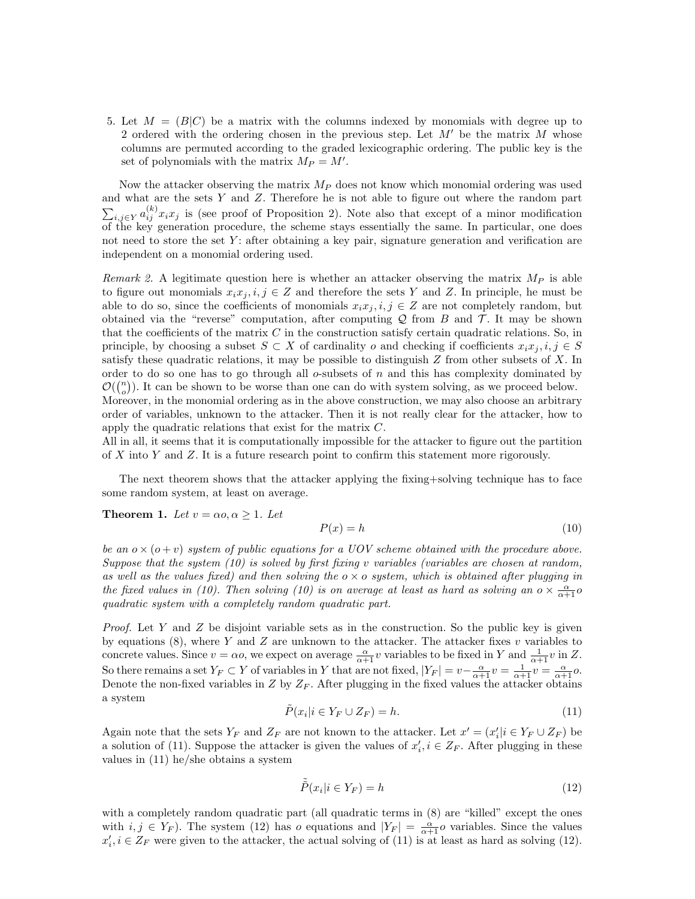5. Let  $M = (B|C)$  be a matrix with the columns indexed by monomials with degree up to 2 ordered with the ordering chosen in the previous step. Let  $M'$  be the matrix M whose columns are permuted according to the graded lexicographic ordering. The public key is the set of polynomials with the matrix  $M_P = M'$ .

Now the attacker observing the matrix  $M_P$  does not know which monomial ordering was used and what are the sets  $Y$  and  $Z$ . Therefore he is not able to figure out where the random part  $\sum_{i,j\in Y} a_{ij}^{(k)} x_i x_j$  is (see proof of Proposition 2). Note also that except of a minor modification of the key generation procedure, the scheme stays essentially the same. In particular, one does not need to store the set  $Y$ : after obtaining a key pair, signature generation and verification are independent on a monomial ordering used.

Remark 2. A legitimate question here is whether an attacker observing the matrix  $M_P$  is able to figure out monomials  $x_i x_j, i, j \in \mathbb{Z}$  and therefore the sets Y and Z. In principle, he must be able to do so, since the coefficients of monomials  $x_ix_j, i, j \in \mathbb{Z}$  are not completely random, but obtained via the "reverse" computation, after computing  $Q$  from  $B$  and  $\mathcal T$ . It may be shown that the coefficients of the matrix  $C$  in the construction satisfy certain quadratic relations. So, in principle, by choosing a subset  $S \subset X$  of cardinality o and checking if coefficients  $x_i x_j, i, j \in S$ satisfy these quadratic relations, it may be possible to distinguish  $Z$  from other subsets of  $X$ . In order to do so one has to go through all  $o$ -subsets of  $n$  and this has complexity dominated by  $\mathcal{O}(\binom{n}{o})$ . It can be shown to be worse than one can do with system solving, as we proceed below. Moreover, in the monomial ordering as in the above construction, we may also choose an arbitrary order of variables, unknown to the attacker. Then it is not really clear for the attacker, how to apply the quadratic relations that exist for the matrix  $C$ .

All in all, it seems that it is computationally impossible for the attacker to figure out the partition of  $X$  into  $Y$  and  $Z$ . It is a future research point to confirm this statement more rigorously.

The next theorem shows that the attacker applying the fixing+solving technique has to face some random system, at least on average.

**Theorem 1.** Let  $v = \alpha o, \alpha \geq 1$ . Let

$$
P(x) = h \tag{10}
$$

be an  $o \times (o + v)$  system of public equations for a UOV scheme obtained with the procedure above. Suppose that the system  $(10)$  is solved by first fixing v variables (variables are chosen at random, as well as the values fixed) and then solving the  $\alpha \times \alpha$  system, which is obtained after plugging in the fixed values in (10). Then solving (10) is on average at least as hard as solving an  $o \times \frac{\alpha}{\alpha+1}$ quadratic system with a completely random quadratic part.

*Proof.* Let Y and Z be disjoint variable sets as in the construction. So the public key is given by equations (8), where  $Y$  and  $Z$  are unknown to the attacker. The attacker fixes  $v$  variables to concrete values. Since  $v = \alpha o$ , we expect on average  $\frac{\alpha}{\alpha+1}v$  variables to be fixed in Y and  $\frac{1}{\alpha+1}v$  in Z. So there remains a set  $Y_F \subset Y$  of variables in Y that are not fixed,  $|Y_F| = v - \frac{\alpha}{\alpha+1} v = \frac{1}{\alpha+1} v = \frac{\alpha}{\alpha+1}$ . Denote the non-fixed variables in  $Z$  by  $Z_F$ . After plugging in the fixed values the attacker obtains a system

$$
\tilde{P}(x_i|i \in Y_F \cup Z_F) = h. \tag{11}
$$

Again note that the sets  $Y_F$  and  $Z_F$  are not known to the attacker. Let  $x' = (x'_i | i \in Y_F \cup Z_F)$  be a solution of (11). Suppose the attacker is given the values of  $x'_i, i \in Z_F$ . After plugging in these values in (11) he/she obtains a system

$$
\tilde{\tilde{P}}(x_i|i \in Y_F) = h \tag{12}
$$

with a completely random quadratic part (all quadratic terms in (8) are "killed" except the ones with  $i, j \in Y_F$ ). The system (12) has *o* equations and  $|Y_F| = \frac{\alpha}{\alpha+1}$ *o* variables. Since the values  $x'_i, i \in Z_F$  were given to the attacker, the actual solving of (11) is at least as hard as solving (12).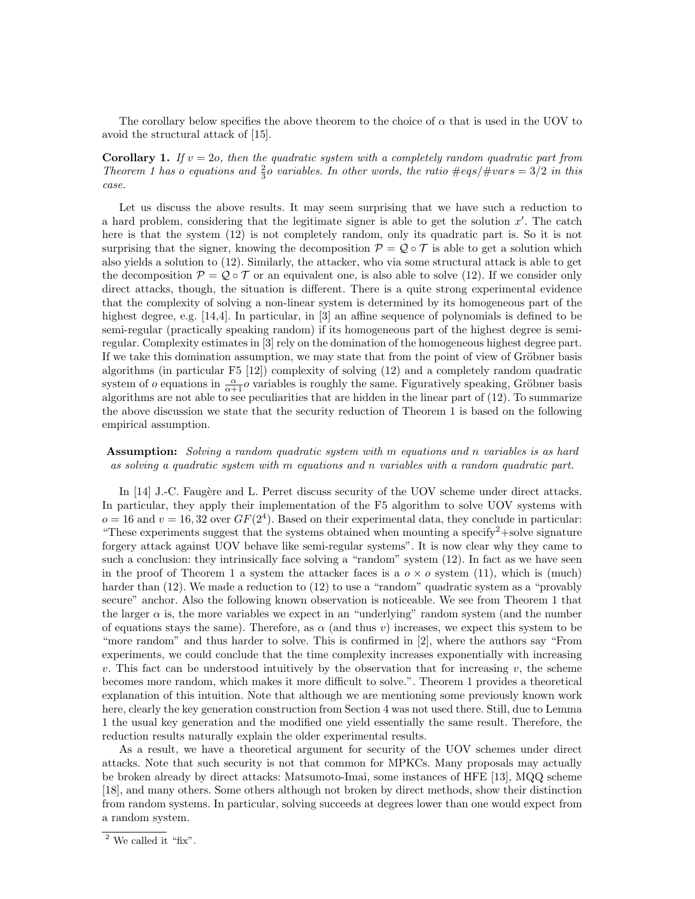The corollary below specifies the above theorem to the choice of  $\alpha$  that is used in the UOV to avoid the structural attack of [15].

**Corollary 1.** If  $v = 2o$ , then the quadratic system with a completely random quadratic part from Theorem 1 has o equations and  $\frac{2}{3}$  variables. In other words, the ratio  $\#eqs/\#vars = 3/2$  in this case.

Let us discuss the above results. It may seem surprising that we have such a reduction to a hard problem, considering that the legitimate signer is able to get the solution  $x'$ . The catch here is that the system (12) is not completely random, only its quadratic part is. So it is not surprising that the signer, knowing the decomposition  $\mathcal{P} = \mathcal{Q} \circ \mathcal{T}$  is able to get a solution which also yields a solution to (12). Similarly, the attacker, who via some structural attack is able to get the decomposition  $\mathcal{P} = \mathcal{Q} \circ \mathcal{T}$  or an equivalent one, is also able to solve (12). If we consider only direct attacks, though, the situation is different. There is a quite strong experimental evidence that the complexity of solving a non-linear system is determined by its homogeneous part of the highest degree, e.g. [14,4]. In particular, in [3] an affine sequence of polynomials is defined to be semi-regular (practically speaking random) if its homogeneous part of the highest degree is semiregular. Complexity estimates in [3] rely on the domination of the homogeneous highest degree part. If we take this domination assumption, we may state that from the point of view of Gröbner basis algorithms (in particular F5 [12]) complexity of solving (12) and a completely random quadratic system of  $o$  equations in  $\frac{\alpha}{\alpha+1}o$  variables is roughly the same. Figuratively speaking, Gröbner basis algorithms are not able to see peculiarities that are hidden in the linear part of (12). To summarize the above discussion we state that the security reduction of Theorem 1 is based on the following empirical assumption.

#### **Assumption:** Solving a random quadratic system with m equations and n variables is as hard as solving a quadratic system with  $m$  equations and  $n$  variables with a random quadratic part.

In [14] J.-C. Faugère and L. Perret discuss security of the UOV scheme under direct attacks. In particular, they apply their implementation of the F5 algorithm to solve UOV systems with  $o = 16$  and  $v = 16, 32$  over  $GF(2<sup>4</sup>)$ . Based on their experimental data, they conclude in particular: "These experiments suggest that the systems obtained when mounting a specify  $2+$ solve signature forgery attack against UOV behave like semi-regular systems". It is now clear why they came to such a conclusion: they intrinsically face solving a "random" system  $(12)$ . In fact as we have seen in the proof of Theorem 1 a system the attacker faces is a  $o \times o$  system (11), which is (much) harder than (12). We made a reduction to (12) to use a "random" quadratic system as a "provably secure" anchor. Also the following known observation is noticeable. We see from Theorem 1 that the larger  $\alpha$  is, the more variables we expect in an "underlying" random system (and the number of equations stays the same). Therefore, as  $\alpha$  (and thus  $v$ ) increases, we expect this system to be "more random" and thus harder to solve. This is confirmed in [2], where the authors say "From experiments, we could conclude that the time complexity increases exponentially with increasing v. This fact can be understood intuitively by the observation that for increasing  $v$ , the scheme becomes more random, which makes it more difficult to solve.". Theorem 1 provides a theoretical explanation of this intuition. Note that although we are mentioning some previously known work here, clearly the key generation construction from Section 4 was not used there. Still, due to Lemma 1 the usual key generation and the modified one yield essentially the same result. Therefore, the reduction results naturally explain the older experimental results.

As a result, we have a theoretical argument for security of the UOV schemes under direct attacks. Note that such security is not that common for MPKCs. Many proposals may actually be broken already by direct attacks: Matsumoto-Imai, some instances of HFE [13], MQQ scheme [18], and many others. Some others although not broken by direct methods, show their distinction from random systems. In particular, solving succeeds at degrees lower than one would expect from a random system.

 $\overline{2 \text{ We called it "fix".}}$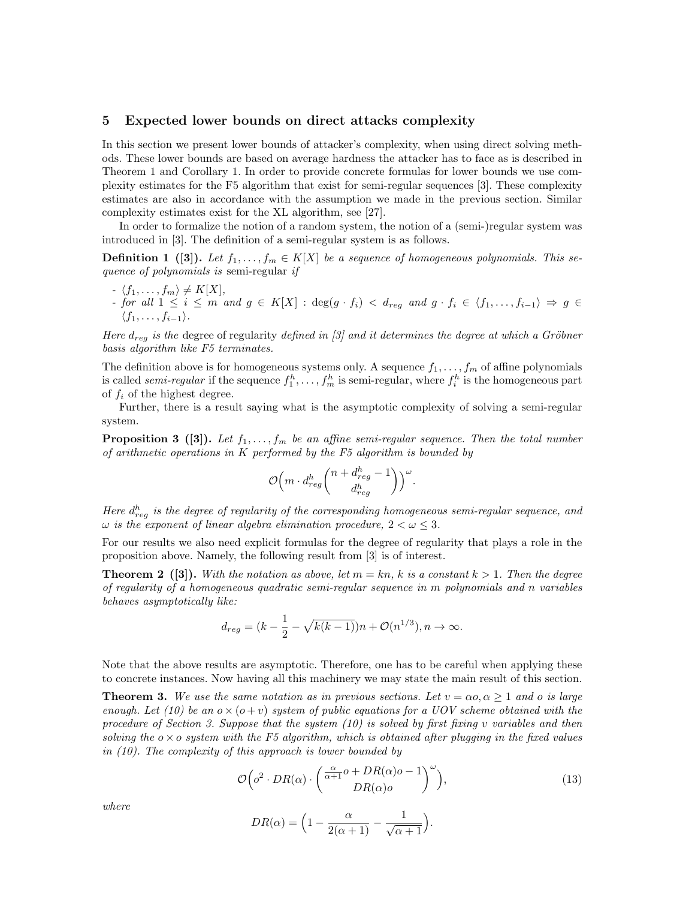#### 5 Expected lower bounds on direct attacks complexity

In this section we present lower bounds of attacker's complexity, when using direct solving methods. These lower bounds are based on average hardness the attacker has to face as is described in Theorem 1 and Corollary 1. In order to provide concrete formulas for lower bounds we use complexity estimates for the F5 algorithm that exist for semi-regular sequences [3]. These complexity estimates are also in accordance with the assumption we made in the previous section. Similar complexity estimates exist for the XL algorithm, see [27].

In order to formalize the notion of a random system, the notion of a (semi-)regular system was introduced in [3]. The definition of a semi-regular system is as follows.

**Definition 1** ([3]). Let  $f_1, \ldots, f_m \in K[X]$  be a sequence of homogeneous polynomials. This sequence of polynomials is semi-regular if

- $\langle f_1, \ldots, f_m \rangle \neq K[X],$
- for all  $1 \leq i \leq m$  and  $g \in K[X]$  :  $\deg(g \cdot f_i) < d_{reg}$  and  $g \cdot f_i \in \langle f_1, \ldots, f_{i-1} \rangle \Rightarrow g \in$  $\langle f_1, \ldots, f_{i-1} \rangle$ .

Here  $d_{reg}$  is the degree of regularity defined in [3] and it determines the degree at which a Gröbner basis algorithm like F5 terminates.

The definition above is for homogeneous systems only. A sequence  $f_1, \ldots, f_m$  of affine polynomials is called *semi-regular* if the sequence  $f_1^h, \ldots, f_m^h$  is semi-regular, where  $f_i^h$  is the homogeneous part of  $f_i$  of the highest degree.

Further, there is a result saying what is the asymptotic complexity of solving a semi-regular system.

**Proposition 3** ([3]). Let  $f_1, \ldots, f_m$  be an affine semi-regular sequence. Then the total number of arithmetic operations in  $K$  performed by the  $F5$  algorithm is bounded by

$$
\mathcal{O}\Big(m \cdot d_{reg}^h {n+d_{reg}^h-1 \choose d_{reg}^h }\Big)^{\omega}.
$$

Here  $d_{reg}^h$  is the degree of regularity of the corresponding homogeneous semi-regular sequence, and  $\omega$  is the exponent of linear algebra elimination procedure,  $2 < \omega \leq 3$ .

For our results we also need explicit formulas for the degree of regularity that plays a role in the proposition above. Namely, the following result from [3] is of interest.

**Theorem 2** ([3]). With the notation as above, let  $m = kn$ , k is a constant  $k > 1$ . Then the degree of regularity of a homogeneous quadratic semi-regular sequence in  $m$  polynomials and  $n$  variables behaves asymptotically like:

$$
d_{reg} = (k - \frac{1}{2} - \sqrt{k(k-1)})n + \mathcal{O}(n^{1/3}), n \to \infty.
$$

Note that the above results are asymptotic. Therefore, one has to be careful when applying these to concrete instances. Now having all this machinery we may state the main result of this section.

**Theorem 3.** We use the same notation as in previous sections. Let  $v = \alpha o, \alpha \ge 1$  and o is large enough. Let (10) be an  $o \times (o + v)$  system of public equations for a UOV scheme obtained with the procedure of Section 3. Suppose that the system  $(10)$  is solved by first fixing v variables and then solving the  $o \times o$  system with the F5 algorithm, which is obtained after plugging in the fixed values in (10). The complexity of this approach is lower bounded by

$$
\mathcal{O}\left(o^2 \cdot DR(\alpha) \cdot \left(\frac{\alpha}{\alpha+1}o + DR(\alpha)o - 1}{DR(\alpha)o}\right)^{\omega}\right),\tag{13}
$$

where

$$
DR(\alpha) = \left(1 - \frac{\alpha}{2(\alpha + 1)} - \frac{1}{\sqrt{\alpha + 1}}\right).
$$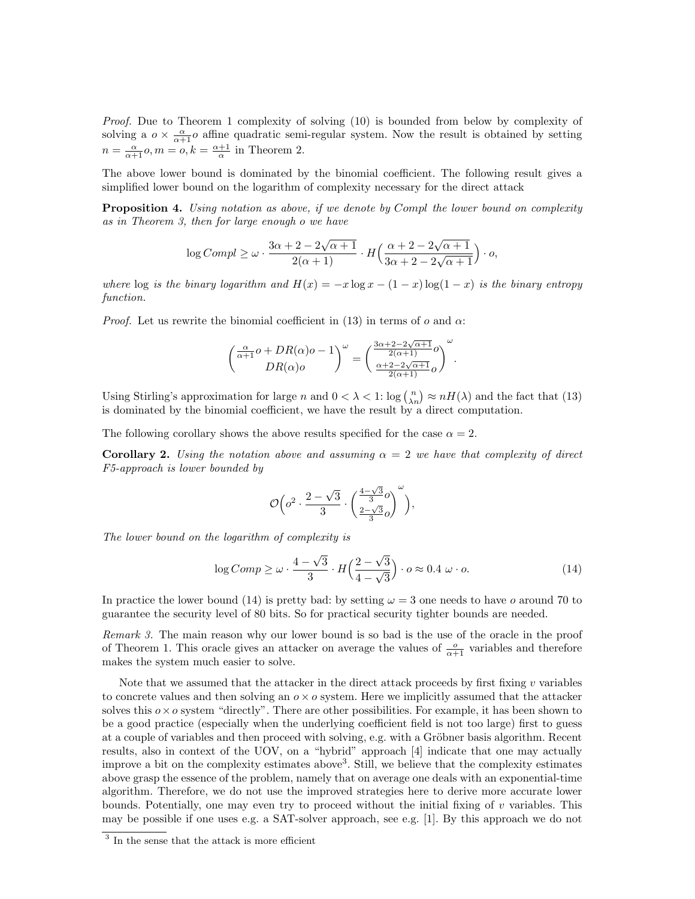Proof. Due to Theorem 1 complexity of solving (10) is bounded from below by complexity of solving a  $o \times \frac{\alpha}{\alpha+1}$  affine quadratic semi-regular system. Now the result is obtained by setting  $n = \frac{\alpha}{\alpha+1}o, m = o, k = \frac{\alpha+1}{\alpha}$  in Theorem 2.

The above lower bound is dominated by the binomial coefficient. The following result gives a simplified lower bound on the logarithm of complexity necessary for the direct attack

**Proposition 4.** Using notation as above, if we denote by Compl the lower bound on complexity as in Theorem 3, then for large enough  $o$  we have

$$
\log Compl \geq \omega \cdot \frac{3\alpha + 2 - 2\sqrt{\alpha + 1}}{2(\alpha + 1)} \cdot H\left(\frac{\alpha + 2 - 2\sqrt{\alpha + 1}}{3\alpha + 2 - 2\sqrt{\alpha + 1}}\right) \cdot o,
$$

where log is the binary logarithm and  $H(x) = -x \log x - (1 - x) \log(1 - x)$  is the binary entropy function.

*Proof.* Let us rewrite the binomial coefficient in (13) in terms of  $o$  and  $\alpha$ :

$$
\begin{pmatrix} \frac{\alpha}{\alpha+1}o + DR(\alpha)o-1\\ DR(\alpha)o \end{pmatrix}^\omega=\begin{pmatrix} \frac{3\alpha+2-2\sqrt{\alpha+1}}{2(\alpha+1)}o\\ \frac{\alpha+2-2\sqrt{\alpha+1}}{2(\alpha+1)}o \end{pmatrix}^\omega.
$$

Using Stirling's approximation for large n and  $0 < \lambda < 1$ : log  $\binom{n}{\lambda n} \approx nH(\lambda)$  and the fact that (13) is dominated by the binomial coefficient, we have the result by a direct computation.

The following corollary shows the above results specified for the case  $\alpha = 2$ .

Corollary 2. Using the notation above and assuming  $\alpha = 2$  we have that complexity of direct F5-approach is lower bounded by

$$
\mathcal{O}\Big(\sigma^2\cdot\frac{2-\sqrt{3}}{3}\cdot\Big(\frac{\frac{4-\sqrt{3}}{3}\sigma}{\frac{2-\sqrt{3}}{3}\sigma}\Big)^{\omega}\Big),
$$

The lower bound on the logarithm of complexity is

$$
\log Comp \ge \omega \cdot \frac{4 - \sqrt{3}}{3} \cdot H\left(\frac{2 - \sqrt{3}}{4 - \sqrt{3}}\right) \cdot o \approx 0.4 \ \omega \cdot o. \tag{14}
$$

In practice the lower bound (14) is pretty bad: by setting  $\omega = 3$  one needs to have o around 70 to guarantee the security level of 80 bits. So for practical security tighter bounds are needed.

Remark 3. The main reason why our lower bound is so bad is the use of the oracle in the proof of Theorem 1. This oracle gives an attacker on average the values of  $\frac{o}{\alpha+1}$  variables and therefore makes the system much easier to solve.

Note that we assumed that the attacker in the direct attack proceeds by first fixing  $v$  variables to concrete values and then solving an  $\rho \times \rho$  system. Here we implicitly assumed that the attacker solves this  $\rho \times \rho$  system "directly". There are other possibilities. For example, it has been shown to be a good practice (especially when the underlying coefficient field is not too large) first to guess at a couple of variables and then proceed with solving, e.g. with a Gröbner basis algorithm. Recent results, also in context of the UOV, on a "hybrid" approach [4] indicate that one may actually improve a bit on the complexity estimates above<sup>3</sup> . Still, we believe that the complexity estimates above grasp the essence of the problem, namely that on average one deals with an exponential-time algorithm. Therefore, we do not use the improved strategies here to derive more accurate lower bounds. Potentially, one may even try to proceed without the initial fixing of  $v$  variables. This may be possible if one uses e.g. a SAT-solver approach, see e.g. [1]. By this approach we do not

<sup>&</sup>lt;sup>3</sup> In the sense that the attack is more efficient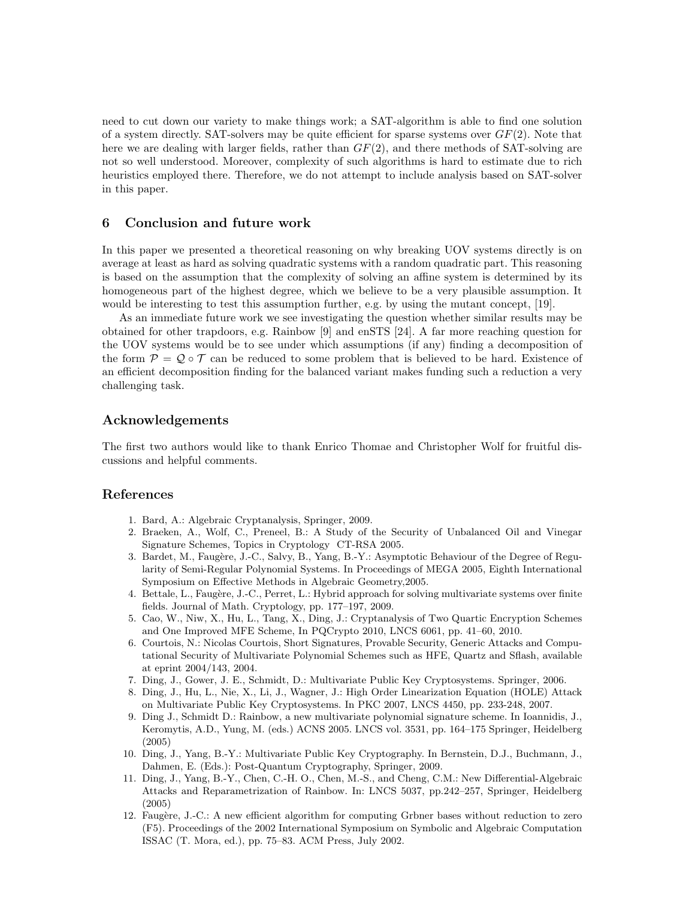need to cut down our variety to make things work; a SAT-algorithm is able to find one solution of a system directly. SAT-solvers may be quite efficient for sparse systems over  $GF(2)$ . Note that here we are dealing with larger fields, rather than  $GF(2)$ , and there methods of SAT-solving are not so well understood. Moreover, complexity of such algorithms is hard to estimate due to rich heuristics employed there. Therefore, we do not attempt to include analysis based on SAT-solver in this paper.

#### 6 Conclusion and future work

In this paper we presented a theoretical reasoning on why breaking UOV systems directly is on average at least as hard as solving quadratic systems with a random quadratic part. This reasoning is based on the assumption that the complexity of solving an affine system is determined by its homogeneous part of the highest degree, which we believe to be a very plausible assumption. It would be interesting to test this assumption further, e.g. by using the mutant concept, [19].

As an immediate future work we see investigating the question whether similar results may be obtained for other trapdoors, e.g. Rainbow [9] and enSTS [24]. A far more reaching question for the UOV systems would be to see under which assumptions (if any) finding a decomposition of the form  $\mathcal{P} = \mathcal{Q} \circ \mathcal{T}$  can be reduced to some problem that is believed to be hard. Existence of an efficient decomposition finding for the balanced variant makes funding such a reduction a very challenging task.

#### Acknowledgements

The first two authors would like to thank Enrico Thomae and Christopher Wolf for fruitful discussions and helpful comments.

#### References

- 1. Bard, A.: Algebraic Cryptanalysis, Springer, 2009.
- 2. Braeken, A., Wolf, C., Preneel, B.: A Study of the Security of Unbalanced Oil and Vinegar Signature Schemes, Topics in Cryptology CT-RSA 2005.
- 3. Bardet, M., Faugère, J.-C., Salvy, B., Yang, B.-Y.: Asymptotic Behaviour of the Degree of Regularity of Semi-Regular Polynomial Systems. In Proceedings of MEGA 2005, Eighth International Symposium on Effective Methods in Algebraic Geometry,2005.
- 4. Bettale, L., Faugère, J.-C., Perret, L.: Hybrid approach for solving multivariate systems over finite fields. Journal of Math. Cryptology, pp. 177–197, 2009.
- 5. Cao, W., Niw, X., Hu, L., Tang, X., Ding, J.: Cryptanalysis of Two Quartic Encryption Schemes and One Improved MFE Scheme, In PQCrypto 2010, LNCS 6061, pp. 41–60, 2010.
- 6. Courtois, N.: Nicolas Courtois, Short Signatures, Provable Security, Generic Attacks and Computational Security of Multivariate Polynomial Schemes such as HFE, Quartz and Sflash, available at eprint 2004/143, 2004.
- 7. Ding, J., Gower, J. E., Schmidt, D.: Multivariate Public Key Cryptosystems. Springer, 2006.
- 8. Ding, J., Hu, L., Nie, X., Li, J., Wagner, J.: High Order Linearization Equation (HOLE) Attack on Multivariate Public Key Cryptosystems. In PKC 2007, LNCS 4450, pp. 233-248, 2007.
- 9. Ding J., Schmidt D.: Rainbow, a new multivariate polynomial signature scheme. In Ioannidis, J., Keromytis, A.D., Yung, M. (eds.) ACNS 2005. LNCS vol. 3531, pp. 164–175 Springer, Heidelberg (2005)
- 10. Ding, J., Yang, B.-Y.: Multivariate Public Key Cryptography. In Bernstein, D.J., Buchmann, J., Dahmen, E. (Eds.): Post-Quantum Cryptography, Springer, 2009.
- 11. Ding, J., Yang, B.-Y., Chen, C.-H. O., Chen, M.-S., and Cheng, C.M.: New Differential-Algebraic Attacks and Reparametrization of Rainbow. In: LNCS 5037, pp.242–257, Springer, Heidelberg (2005)
- 12. Faugère, J.-C.: A new efficient algorithm for computing Grbner bases without reduction to zero (F5). Proceedings of the 2002 International Symposium on Symbolic and Algebraic Computation ISSAC (T. Mora, ed.), pp. 75–83. ACM Press, July 2002.